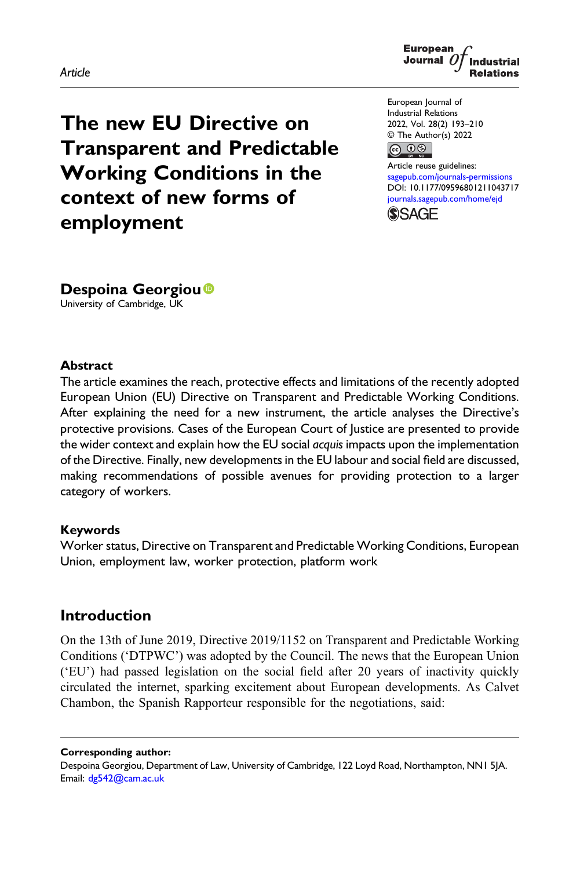#### Article



The new EU Directive on Transparent and Predictable Working Conditions in the context of new forms of employment

European Journal of Industrial Relations 2022, Vol. 28(2) 193–210 © The Author(s) 2022



Article reuse guidelines: [sagepub.com/journals-permissions](https://uk.sagepub.com/en-gb/journals-permissions) DOI: [10.1177/09596801211043717](https://doi.org/10.1177/09596801211043717) [journals.sagepub.com/home/ejd](https://journals.sagepub.com/home/ejd) **SSAGF** 

Despoina Georgiou<sup>®</sup> University of Cambridge, UK

#### **Abstract**

The article examines the reach, protective effects and limitations of the recently adopted European Union (EU) Directive on Transparent and Predictable Working Conditions. After explaining the need for a new instrument, the article analyses the Directive's protective provisions. Cases of the European Court of Justice are presented to provide the wider context and explain how the EU social acquis impacts upon the implementation of the Directive. Finally, new developments in the EU labour and social field are discussed, making recommendations of possible avenues for providing protection to a larger category of workers.

#### Keywords

Worker status, Directive on Transparent and Predictable Working Conditions, European Union, employment law, worker protection, platform work

# Introduction

On the 13th of June 2019, Directive 2019/1152 on Transparent and Predictable Working Conditions ('DTPWC') was adopted by the Council. The news that the European Union ('EU') had passed legislation on the social field after 20 years of inactivity quickly circulated the internet, sparking excitement about European developments. As Calvet Chambon, the Spanish Rapporteur responsible for the negotiations, said:

Corresponding author:

Despoina Georgiou, Department of Law, University of Cambridge, 122 Loyd Road, Northampton, NN1 5JA. Email: [dg542@cam.ac.uk](mailto:dg542@cam.ac.uk)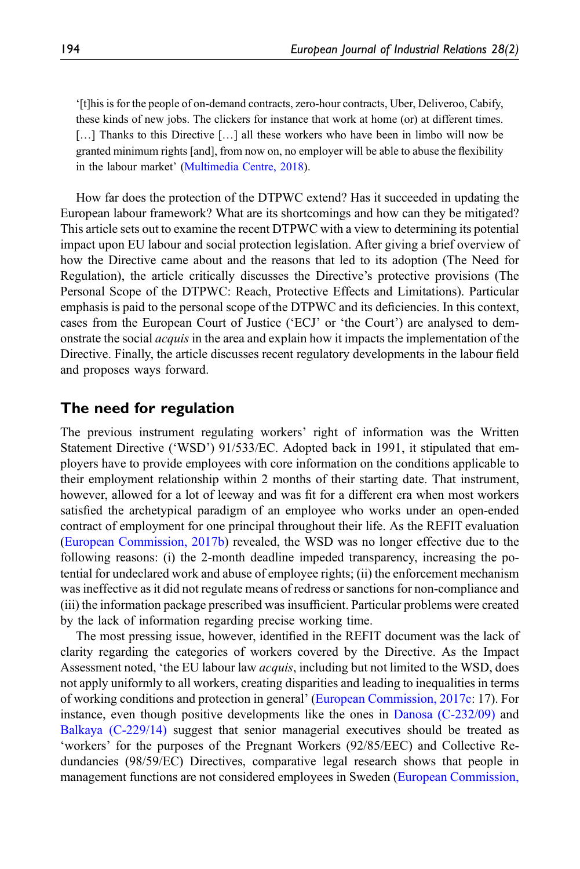'[t]his is for the people of on-demand contracts, zero-hour contracts, Uber, Deliveroo, Cabify, these kinds of new jobs. The clickers for instance that work at home (or) at different times. [...] Thanks to this Directive [...] all these workers who have been in limbo will now be granted minimum rights [and], from now on, no employer will be able to abuse the flexibility in the labour market' ([Multimedia Centre, 2018\)](#page-16-0).

How far does the protection of the DTPWC extend? Has it succeeded in updating the European labour framework? What are its shortcomings and how can they be mitigated? This article sets out to examine the recent DTPWC with a view to determining its potential impact upon EU labour and social protection legislation. After giving a brief overview of how the Directive came about and the reasons that led to its adoption (The Need for Regulation), the article critically discusses the Directive's protective provisions (The Personal Scope of the DTPWC: Reach, Protective Effects and Limitations). Particular emphasis is paid to the personal scope of the DTPWC and its deficiencies. In this context, cases from the European Court of Justice ('ECJ' or 'the Court') are analysed to demonstrate the social acquis in the area and explain how it impacts the implementation of the Directive. Finally, the article discusses recent regulatory developments in the labour field and proposes ways forward.

## The need for regulation

The previous instrument regulating workers' right of information was the Written Statement Directive ('WSD') 91/533/EC. Adopted back in 1991, it stipulated that employers have to provide employees with core information on the conditions applicable to their employment relationship within 2 months of their starting date. That instrument, however, allowed for a lot of leeway and was fit for a different era when most workers satisfied the archetypical paradigm of an employee who works under an open-ended contract of employment for one principal throughout their life. As the REFIT evaluation [\(European Commission, 2017b](#page-15-0)) revealed, the WSD was no longer effective due to the following reasons: (i) the 2-month deadline impeded transparency, increasing the potential for undeclared work and abuse of employee rights; (ii) the enforcement mechanism was ineffective as it did not regulate means of redress or sanctions for non-compliance and (iii) the information package prescribed was insufficient. Particular problems were created by the lack of information regarding precise working time.

The most pressing issue, however, identified in the REFIT document was the lack of clarity regarding the categories of workers covered by the Directive. As the Impact Assessment noted, 'the EU labour law *acquis*, including but not limited to the WSD, does not apply uniformly to all workers, creating disparities and leading to inequalities in terms of working conditions and protection in general' ([European Commission, 2017c:](#page-15-1) 17). For instance, even though positive developments like the ones in [Danosa \(C-232/09\)](#page-17-0) and [Balkaya \(C-229/14\)](#page-17-1) suggest that senior managerial executives should be treated as 'workers' for the purposes of the Pregnant Workers (92/85/EEC) and Collective Redundancies (98/59/EC) Directives, comparative legal research shows that people in management functions are not considered employees in Sweden [\(European Commission,](#page-15-0)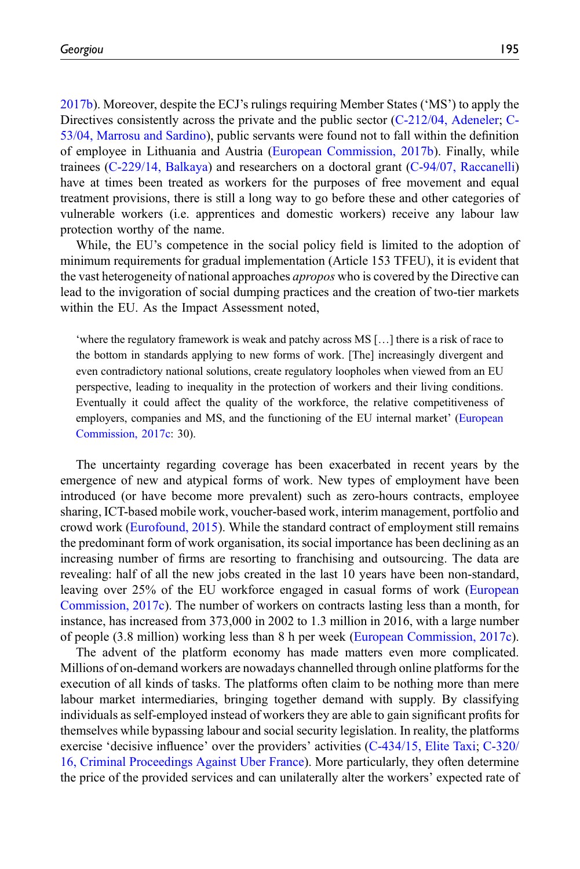[2017b\)](#page-15-0). Moreover, despite the ECJ's rulings requiring Member States ('MS') to apply the Directives consistently across the private and the public sector ([C-212/04, Adeneler;](#page-17-2) [C-](#page-17-3)[53/04, Marrosu and Sardino](#page-17-3)), public servants were found not to fall within the definition of employee in Lithuania and Austria ([European Commission, 2017b](#page-15-0)). Finally, while trainees ([C-229/14, Balkaya\)](#page-17-1) and researchers on a doctoral grant [\(C-94/07, Raccanelli\)](#page-17-4) have at times been treated as workers for the purposes of free movement and equal treatment provisions, there is still a long way to go before these and other categories of vulnerable workers (i.e. apprentices and domestic workers) receive any labour law protection worthy of the name.

While, the EU's competence in the social policy field is limited to the adoption of minimum requirements for gradual implementation (Article 153 TFEU), it is evident that the vast heterogeneity of national approaches *apropos* who is covered by the Directive can lead to the invigoration of social dumping practices and the creation of two-tier markets within the EU. As the Impact Assessment noted,

'where the regulatory framework is weak and patchy across MS […] there is a risk of race to the bottom in standards applying to new forms of work. [The] increasingly divergent and even contradictory national solutions, create regulatory loopholes when viewed from an EU perspective, leading to inequality in the protection of workers and their living conditions. Eventually it could affect the quality of the workforce, the relative competitiveness of employers, companies and MS, and the functioning of the EU internal market' [\(European](#page-15-1) [Commission, 2017c](#page-15-1): 30).

The uncertainty regarding coverage has been exacerbated in recent years by the emergence of new and atypical forms of work. New types of employment have been introduced (or have become more prevalent) such as zero-hours contracts, employee sharing, ICT-based mobile work, voucher-based work, interim management, portfolio and crowd work [\(Eurofound, 2015](#page-15-2)). While the standard contract of employment still remains the predominant form of work organisation, its social importance has been declining as an increasing number of firms are resorting to franchising and outsourcing. The data are revealing: half of all the new jobs created in the last 10 years have been non-standard, leaving over 25% of the EU workforce engaged in casual forms of work [\(European](#page-15-1) [Commission, 2017c\)](#page-15-1). The number of workers on contracts lasting less than a month, for instance, has increased from 373,000 in 2002 to 1.3 million in 2016, with a large number of people (3.8 million) working less than 8 h per week [\(European Commission, 2017c\)](#page-15-1).

The advent of the platform economy has made matters even more complicated. Millions of on-demand workers are nowadays channelled through online platforms for the execution of all kinds of tasks. The platforms often claim to be nothing more than mere labour market intermediaries, bringing together demand with supply. By classifying individuals as self-employed instead of workers they are able to gain significant profits for themselves while bypassing labour and social security legislation. In reality, the platforms exercise 'decisive influence' over the providers' activities ([C-434/15, Elite Taxi](#page-17-5); [C-320/](#page-17-6) [16, Criminal Proceedings Against Uber France](#page-17-6)). More particularly, they often determine the price of the provided services and can unilaterally alter the workers' expected rate of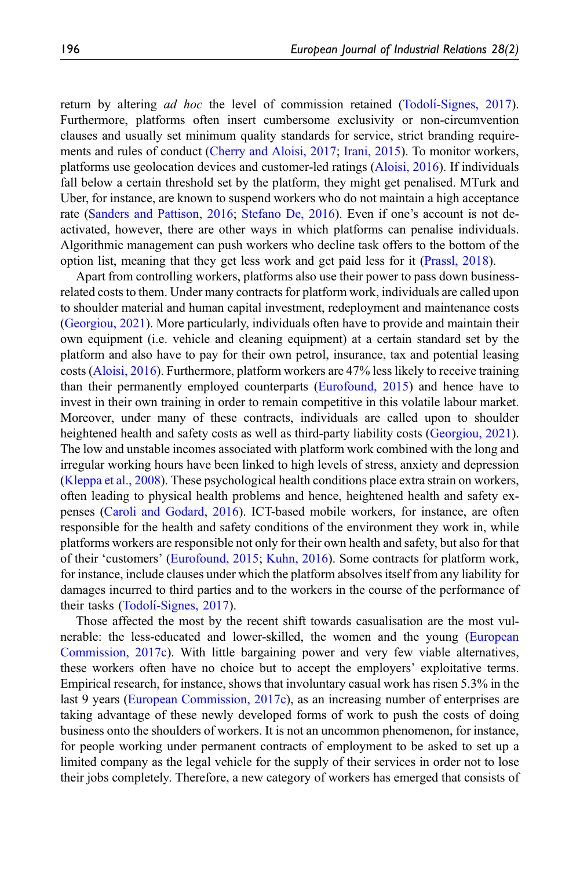return by altering *ad hoc* the level of commission retained (Todoli[-Signes, 2017\)](#page-16-1). Furthermore, platforms often insert cumbersome exclusivity or non-circumvention clauses and usually set minimum quality standards for service, strict branding requirements and rules of conduct ([Cherry and Aloisi, 2017;](#page-15-3) [Irani, 2015](#page-16-2)). To monitor workers, platforms use geolocation devices and customer-led ratings ([Aloisi, 2016](#page-15-4)). If individuals fall below a certain threshold set by the platform, they might get penalised. MTurk and Uber, for instance, are known to suspend workers who do not maintain a high acceptance rate [\(Sanders and Pattison, 2016](#page-16-3); [Stefano De, 2016\)](#page-16-4). Even if one's account is not deactivated, however, there are other ways in which platforms can penalise individuals. Algorithmic management can push workers who decline task offers to the bottom of the option list, meaning that they get less work and get paid less for it ([Prassl, 2018](#page-16-5)).

Apart from controlling workers, platforms also use their power to pass down businessrelated costs to them. Under many contracts for platform work, individuals are called upon to shoulder material and human capital investment, redeployment and maintenance costs [\(Georgiou, 2021](#page-16-6)). More particularly, individuals often have to provide and maintain their own equipment (i.e. vehicle and cleaning equipment) at a certain standard set by the platform and also have to pay for their own petrol, insurance, tax and potential leasing costs ([Aloisi, 2016](#page-15-4)). Furthermore, platform workers are 47% less likely to receive training than their permanently employed counterparts ([Eurofound, 2015](#page-15-2)) and hence have to invest in their own training in order to remain competitive in this volatile labour market. Moreover, under many of these contracts, individuals are called upon to shoulder heightened health and safety costs as well as third-party liability costs [\(Georgiou, 2021\)](#page-16-6). The low and unstable incomes associated with platform work combined with the long and irregular working hours have been linked to high levels of stress, anxiety and depression [\(Kleppa et al., 2008\)](#page-16-7). These psychological health conditions place extra strain on workers, often leading to physical health problems and hence, heightened health and safety expenses [\(Caroli and Godard, 2016](#page-15-5)). ICT-based mobile workers, for instance, are often responsible for the health and safety conditions of the environment they work in, while platforms workers are responsible not only for their own health and safety, but also for that of their 'customers' [\(Eurofound, 2015;](#page-15-2) [Kuhn, 2016](#page-16-8)). Some contracts for platform work, for instance, include clauses under which the platform absolves itself from any liability for damages incurred to third parties and to the workers in the course of the performance of their tasks (Todolí[-Signes, 2017\)](#page-16-1).

Those affected the most by the recent shift towards casualisation are the most vulnerable: the less-educated and lower-skilled, the women and the young [\(European](#page-15-1) [Commission, 2017c](#page-15-1)). With little bargaining power and very few viable alternatives, these workers often have no choice but to accept the employers' exploitative terms. Empirical research, for instance, shows that involuntary casual work has risen 5.3% in the last 9 years ([European Commission, 2017c](#page-15-1)), as an increasing number of enterprises are taking advantage of these newly developed forms of work to push the costs of doing business onto the shoulders of workers. It is not an uncommon phenomenon, for instance, for people working under permanent contracts of employment to be asked to set up a limited company as the legal vehicle for the supply of their services in order not to lose their jobs completely. Therefore, a new category of workers has emerged that consists of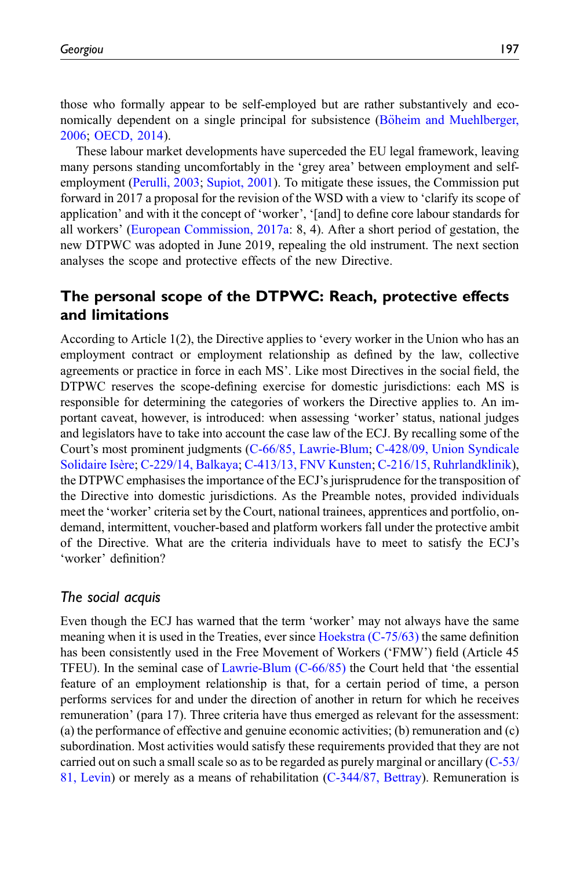those who formally appear to be self-employed but are rather substantively and economically dependent on a single principal for subsistence (Böheim and Muehlberger, [2006;](#page-15-6) [OECD, 2014\)](#page-16-9).

These labour market developments have superceded the EU legal framework, leaving many persons standing uncomfortably in the 'grey area' between employment and selfemployment [\(Perulli, 2003;](#page-16-10) [Supiot, 2001\)](#page-16-11). To mitigate these issues, the Commission put forward in 2017 a proposal for the revision of the WSD with a view to 'clarify its scope of application' and with it the concept of 'worker', '[and] to define core labour standards for all workers' ([European Commission, 2017a:](#page-15-7) 8, 4). After a short period of gestation, the new DTPWC was adopted in June 2019, repealing the old instrument. The next section analyses the scope and protective effects of the new Directive.

# The personal scope of the DTPWC: Reach, protective effects and limitations

According to Article 1(2), the Directive applies to 'every worker in the Union who has an employment contract or employment relationship as defined by the law, collective agreements or practice in force in each MS'. Like most Directives in the social field, the DTPWC reserves the scope-defining exercise for domestic jurisdictions: each MS is responsible for determining the categories of workers the Directive applies to. An important caveat, however, is introduced: when assessing 'worker' status, national judges and legislators have to take into account the case law of the ECJ. By recalling some of the Court's most prominent judgments [\(C-66/85, Lawrie-Blum](#page-17-7); [C-428/09, Union Syndicale](#page-17-8) [Solidaire Isère;](#page-17-8) [C-229/14, Balkaya;](#page-17-1) [C-413/13, FNV Kunsten;](#page-17-9) [C-216/15, Ruhrlandklinik\)](#page-17-10), the DTPWC emphasises the importance of the ECJ's jurisprudence for the transposition of the Directive into domestic jurisdictions. As the Preamble notes, provided individuals meet the 'worker' criteria set by the Court, national trainees, apprentices and portfolio, ondemand, intermittent, voucher-based and platform workers fall under the protective ambit of the Directive. What are the criteria individuals have to meet to satisfy the ECJ's 'worker' definition?

# The social acquis

Even though the ECJ has warned that the term 'worker' may not always have the same meaning when it is used in the Treaties, ever since [Hoekstra \(C-75/63\)](#page-17-11) the same definition has been consistently used in the Free Movement of Workers ('FMW') field (Article 45 TFEU). In the seminal case of [Lawrie-Blum \(C-66/85\)](#page-17-7) the Court held that 'the essential feature of an employment relationship is that, for a certain period of time, a person performs services for and under the direction of another in return for which he receives remuneration' (para 17). Three criteria have thus emerged as relevant for the assessment: (a) the performance of effective and genuine economic activities; (b) remuneration and (c) subordination. Most activities would satisfy these requirements provided that they are not carried out on such a small scale so as to be regarded as purely marginal or ancillary ([C-53/](#page-17-12) [81, Levin\)](#page-17-12) or merely as a means of rehabilitation ([C-344/87, Bettray\)](#page-17-13). Remuneration is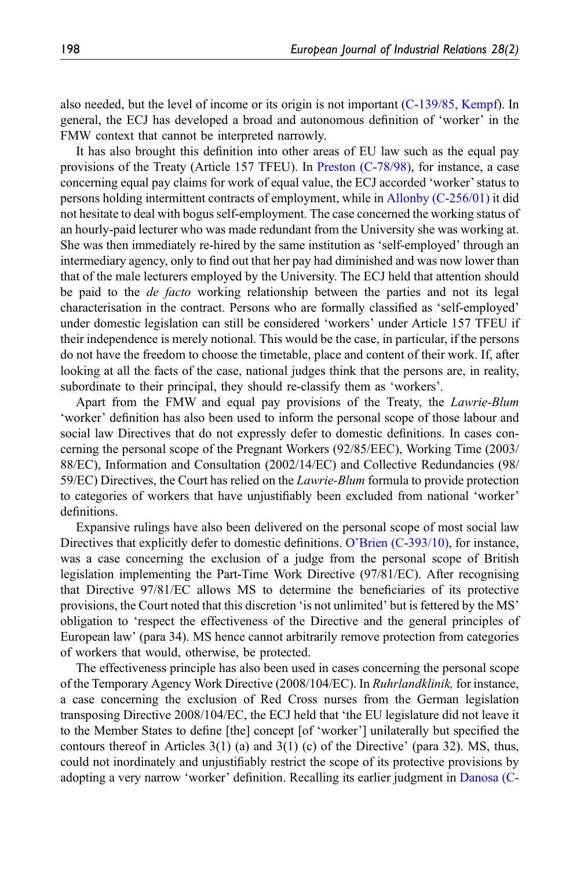also needed, but the level of income or its origin is not important ([C-139/85, Kempf\)](#page-17-14). In general, the ECJ has developed a broad and autonomous definition of 'worker' in the FMW context that cannot be interpreted narrowly.

It has also brought this definition into other areas of EU law such as the equal pay provisions of the Treaty (Article 157 TFEU). In [Preston \(C-78/98\),](#page-17-15) for instance, a case concerning equal pay claims for work of equal value, the ECJ accorded 'worker'status to persons holding intermittent contracts of employment, while in [Allonby \(C-256/01\)](#page-17-16) it did not hesitate to deal with bogus self-employment. The case concerned the working status of an hourly-paid lecturer who was made redundant from the University she was working at. She was then immediately re-hired by the same institution as 'self-employed' through an intermediary agency, only to find out that her pay had diminished and was now lower than that of the male lecturers employed by the University. The ECJ held that attention should be paid to the *de facto* working relationship between the parties and not its legal characterisation in the contract. Persons who are formally classified as 'self-employed' under domestic legislation can still be considered 'workers' under Article 157 TFEU if their independence is merely notional. This would be the case, in particular, if the persons do not have the freedom to choose the timetable, place and content of their work. If, after looking at all the facts of the case, national judges think that the persons are, in reality, subordinate to their principal, they should re-classify them as 'workers'.

Apart from the FMW and equal pay provisions of the Treaty, the Lawrie-Blum 'worker' definition has also been used to inform the personal scope of those labour and social law Directives that do not expressly defer to domestic definitions. In cases concerning the personal scope of the Pregnant Workers (92/85/EEC), Working Time (2003/ 88/EC), Information and Consultation (2002/14/EC) and Collective Redundancies (98/ 59/EC) Directives, the Court has relied on the Lawrie-Blum formula to provide protection to categories of workers that have unjustifiably been excluded from national 'worker' definitions.

Expansive rulings have also been delivered on the personal scope of most social law Directives that explicitly defer to domestic definitions. O'[Brien \(C-393/10\)](#page-17-17), for instance, was a case concerning the exclusion of a judge from the personal scope of British legislation implementing the Part-Time Work Directive (97/81/EC). After recognising that Directive 97/81/EC allows MS to determine the beneficiaries of its protective provisions, the Court noted that this discretion 'is not unlimited' but is fettered by the MS' obligation to 'respect the effectiveness of the Directive and the general principles of European law' (para 34). MS hence cannot arbitrarily remove protection from categories of workers that would, otherwise, be protected.

The effectiveness principle has also been used in cases concerning the personal scope of the Temporary Agency Work Directive (2008/104/EC). In Ruhrlandklinik, for instance, a case concerning the exclusion of Red Cross nurses from the German legislation transposing Directive 2008/104/EC, the ECJ held that 'the EU legislature did not leave it to the Member States to define [the] concept [of 'worker'] unilaterally but specified the contours thereof in Articles  $3(1)$  (a) and  $3(1)$  (c) of the Directive' (para 32). MS, thus, could not inordinately and unjustifiably restrict the scope of its protective provisions by adopting a very narrow 'worker' definition. Recalling its earlier judgment in [Danosa \(C-](#page-17-0)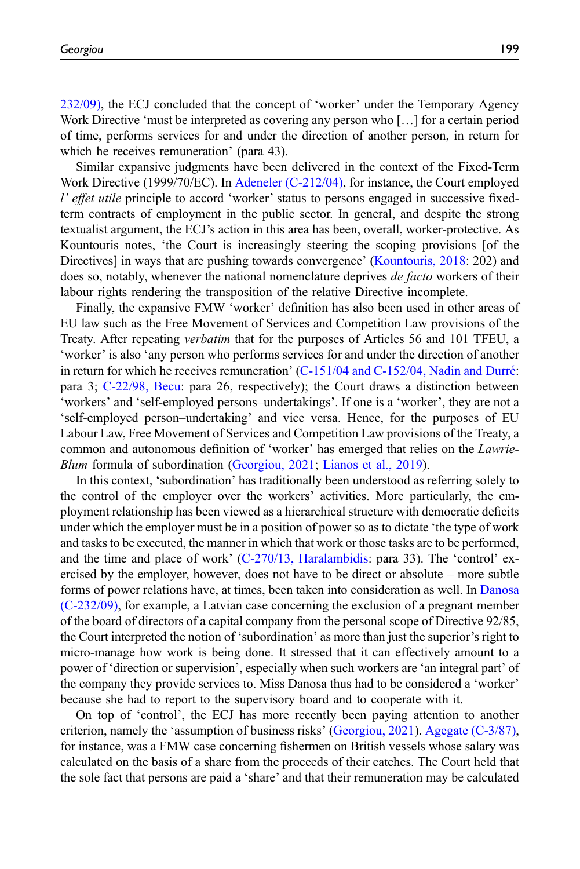[232/09\),](#page-17-0) the ECJ concluded that the concept of 'worker' under the Temporary Agency Work Directive 'must be interpreted as covering any person who […] for a certain period of time, performs services for and under the direction of another person, in return for

which he receives remuneration' (para 43). Similar expansive judgments have been delivered in the context of the Fixed-Term Work Directive (1999/70/EC). In [Adeneler \(C-212/04\),](#page-17-2) for instance, the Court employed l' effet utile principle to accord 'worker' status to persons engaged in successive fixedterm contracts of employment in the public sector. In general, and despite the strong textualist argument, the ECJ's action in this area has been, overall, worker-protective. As Kountouris notes, 'the Court is increasingly steering the scoping provisions [of the Directives] in ways that are pushing towards convergence' ([Kountouris, 2018](#page-16-12): 202) and does so, notably, whenever the national nomenclature deprives *de facto* workers of their labour rights rendering the transposition of the relative Directive incomplete.

Finally, the expansive FMW 'worker' definition has also been used in other areas of EU law such as the Free Movement of Services and Competition Law provisions of the Treaty. After repeating verbatim that for the purposes of Articles 56 and 101 TFEU, a 'worker' is also 'any person who performs services for and under the direction of another in return for which he receives remuneration'  $(C-151/04$  and  $C-152/04$ , Nadin and Durré: para 3; [C-22/98, Becu:](#page-17-19) para 26, respectively); the Court draws a distinction between 'workers' and 'self-employed persons–undertakings'. If one is a 'worker', they are not a 'self-employed person–undertaking' and vice versa. Hence, for the purposes of EU Labour Law, Free Movement of Services and Competition Law provisions of the Treaty, a common and autonomous definition of 'worker' has emerged that relies on the *Lawrie-*Blum formula of subordination [\(Georgiou, 2021](#page-16-6); [Lianos et al., 2019](#page-16-13)).

In this context, 'subordination' has traditionally been understood as referring solely to the control of the employer over the workers' activities. More particularly, the employment relationship has been viewed as a hierarchical structure with democratic deficits under which the employer must be in a position of power so as to dictate 'the type of work and tasks to be executed, the manner in which that work or those tasks are to be performed, and the time and place of work' [\(C-270/13, Haralambidis](#page-17-20): para 33). The 'control' exercised by the employer, however, does not have to be direct or absolute – more subtle forms of power relations have, at times, been taken into consideration as well. In [Danosa](#page-17-0) [\(C-232/09\),](#page-17-0) for example, a Latvian case concerning the exclusion of a pregnant member of the board of directors of a capital company from the personal scope of Directive 92/85, the Court interpreted the notion of 'subordination' as more than just the superior's right to micro-manage how work is being done. It stressed that it can effectively amount to a power of 'direction or supervision', especially when such workers are 'an integral part' of the company they provide services to. Miss Danosa thus had to be considered a 'worker' because she had to report to the supervisory board and to cooperate with it.

On top of 'control', the ECJ has more recently been paying attention to another criterion, namely the 'assumption of business risks' [\(Georgiou, 2021](#page-16-6)). [Agegate \(C-3/87\),](#page-17-21) for instance, was a FMW case concerning fishermen on British vessels whose salary was calculated on the basis of a share from the proceeds of their catches. The Court held that the sole fact that persons are paid a 'share' and that their remuneration may be calculated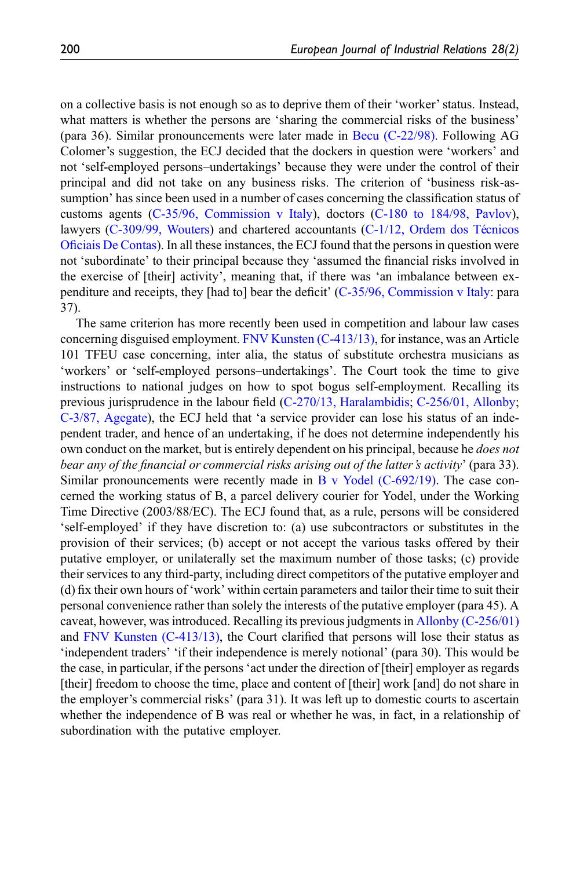on a collective basis is not enough so as to deprive them of their 'worker'status. Instead, what matters is whether the persons are 'sharing the commercial risks of the business' (para 36). Similar pronouncements were later made in [Becu \(C-22/98\).](#page-17-19) Following AG Colomer's suggestion, the ECJ decided that the dockers in question were 'workers' and not 'self-employed persons–undertakings' because they were under the control of their principal and did not take on any business risks. The criterion of 'business risk-assumption' has since been used in a number of cases concerning the classification status of customs agents [\(C-35/96, Commission v Italy\)](#page-17-22), doctors [\(C-180 to 184/98, Pavlov\)](#page-17-23), lawyers  $(C-309/99,$  Wouters) and chartered accountants  $(C-1/12,$  Ordem dos Té[cnicos](#page-17-25) Ofi[ciais De Contas\)](#page-17-25). In all these instances, the ECJ found that the persons in question were not 'subordinate' to their principal because they 'assumed the financial risks involved in the exercise of [their] activity', meaning that, if there was 'an imbalance between expenditure and receipts, they [had to] bear the deficit' ([C-35/96, Commission v Italy](#page-17-22): para 37).

The same criterion has more recently been used in competition and labour law cases concerning disguised employment. [FNV Kunsten \(C-413/13\),](#page-17-9) for instance, was an Article 101 TFEU case concerning, inter alia, the status of substitute orchestra musicians as 'workers' or 'self-employed persons–undertakings'. The Court took the time to give instructions to national judges on how to spot bogus self-employment. Recalling its previous jurisprudence in the labour field ([C-270/13, Haralambidis;](#page-17-20) [C-256/01, Allonby;](#page-17-16) [C-3/87, Agegate](#page-17-21)), the ECJ held that 'a service provider can lose his status of an independent trader, and hence of an undertaking, if he does not determine independently his own conduct on the market, but is entirely dependent on his principal, because he *does not* bear any of the financial or commercial risks arising out of the latter's activity' (para 33). Similar pronouncements were recently made in [B v Yodel \(C-692/19\).](#page-17-26) The case concerned the working status of B, a parcel delivery courier for Yodel, under the Working Time Directive (2003/88/EC). The ECJ found that, as a rule, persons will be considered 'self-employed' if they have discretion to: (a) use subcontractors or substitutes in the provision of their services; (b) accept or not accept the various tasks offered by their putative employer, or unilaterally set the maximum number of those tasks; (c) provide their services to any third-party, including direct competitors of the putative employer and (d) fix their own hours of 'work' within certain parameters and tailor their time to suit their personal convenience rather than solely the interests of the putative employer (para 45). A caveat, however, was introduced. Recalling its previous judgments in [Allonby \(C-256/01\)](#page-17-16) and [FNV Kunsten \(C-413/13\),](#page-17-9) the Court clarified that persons will lose their status as 'independent traders' 'if their independence is merely notional' (para 30). This would be the case, in particular, if the persons 'act under the direction of [their] employer as regards [their] freedom to choose the time, place and content of [their] work [and] do not share in the employer's commercial risks' (para 31). It was left up to domestic courts to ascertain whether the independence of B was real or whether he was, in fact, in a relationship of subordination with the putative employer.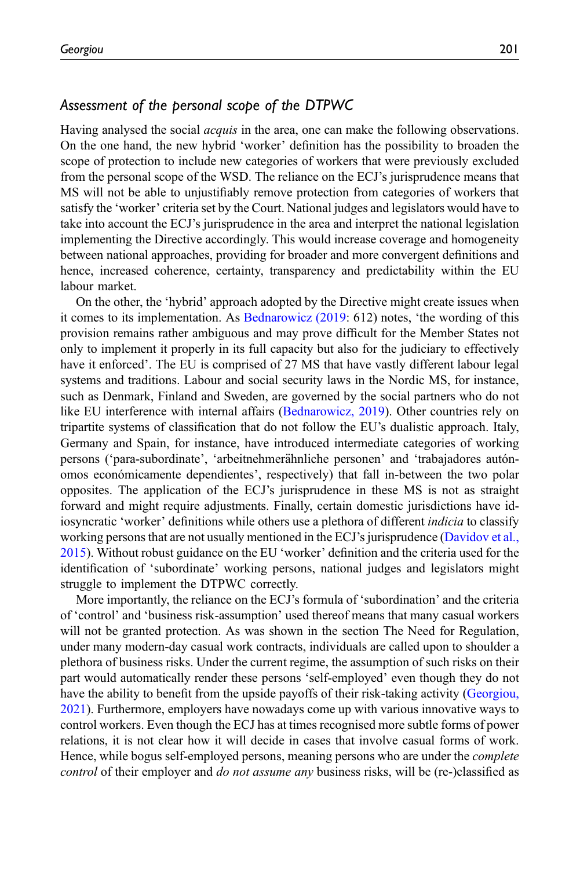### Assessment of the personal scope of the DTPWC

Having analysed the social *acquis* in the area, one can make the following observations. On the one hand, the new hybrid 'worker' definition has the possibility to broaden the scope of protection to include new categories of workers that were previously excluded from the personal scope of the WSD. The reliance on the ECJ's jurisprudence means that MS will not be able to unjustifiably remove protection from categories of workers that satisfy the 'worker' criteria set by the Court. National judges and legislators would have to take into account the ECJ's jurisprudence in the area and interpret the national legislation implementing the Directive accordingly. This would increase coverage and homogeneity between national approaches, providing for broader and more convergent definitions and hence, increased coherence, certainty, transparency and predictability within the EU labour market.

On the other, the 'hybrid' approach adopted by the Directive might create issues when it comes to its implementation. As [Bednarowicz \(2019](#page-15-8): 612) notes, 'the wording of this provision remains rather ambiguous and may prove difficult for the Member States not only to implement it properly in its full capacity but also for the judiciary to effectively have it enforced'. The EU is comprised of 27 MS that have vastly different labour legal systems and traditions. Labour and social security laws in the Nordic MS, for instance, such as Denmark, Finland and Sweden, are governed by the social partners who do not like EU interference with internal affairs ([Bednarowicz, 2019\)](#page-15-8). Other countries rely on tripartite systems of classification that do not follow the EU's dualistic approach. Italy, Germany and Spain, for instance, have introduced intermediate categories of working persons ('para-subordinate', 'arbeitnehmerähnliche personen' and 'trabajadores autónomos económicamente dependientes', respectively) that fall in-between the two polar opposites. The application of the ECJ's jurisprudence in these MS is not as straight forward and might require adjustments. Finally, certain domestic jurisdictions have idiosyncratic 'worker' definitions while others use a plethora of different *indicia* to classify working persons that are not usually mentioned in the ECJ's jurisprudence [\(Davidov et al.,](#page-15-9) [2015\)](#page-15-9). Without robust guidance on the EU 'worker' definition and the criteria used for the identification of 'subordinate' working persons, national judges and legislators might struggle to implement the DTPWC correctly.

More importantly, the reliance on the ECJ's formula of 'subordination' and the criteria of 'control' and 'business risk-assumption' used thereof means that many casual workers will not be granted protection. As was shown in the section The Need for Regulation, under many modern-day casual work contracts, individuals are called upon to shoulder a plethora of business risks. Under the current regime, the assumption of such risks on their part would automatically render these persons 'self-employed' even though they do not have the ability to benefit from the upside payoffs of their risk-taking activity [\(Georgiou,](#page-16-6) [2021\)](#page-16-6). Furthermore, employers have nowadays come up with various innovative ways to control workers. Even though the ECJ has at times recognised more subtle forms of power relations, it is not clear how it will decide in cases that involve casual forms of work. Hence, while bogus self-employed persons, meaning persons who are under the *complete* control of their employer and *do not assume any* business risks, will be (re-)classified as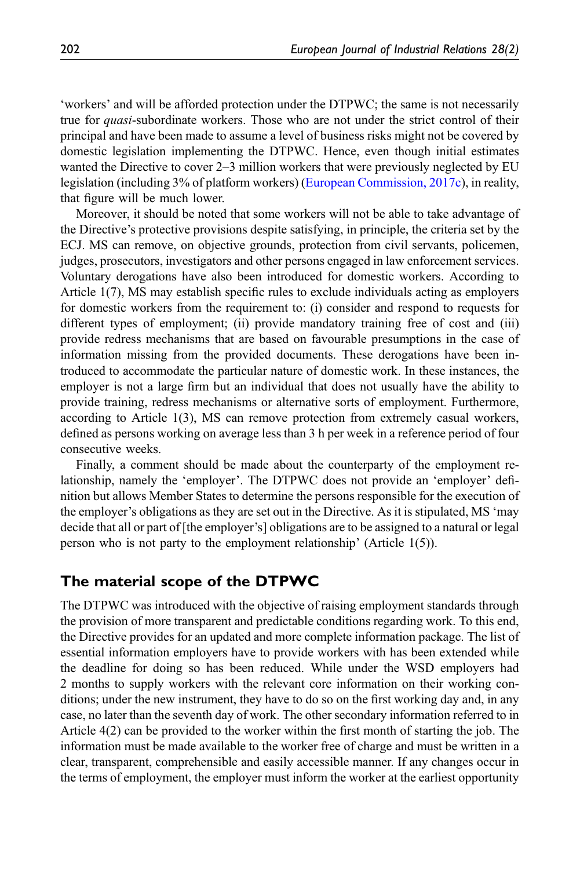'workers' and will be afforded protection under the DTPWC; the same is not necessarily true for *quasi*-subordinate workers. Those who are not under the strict control of their principal and have been made to assume a level of business risks might not be covered by domestic legislation implementing the DTPWC. Hence, even though initial estimates wanted the Directive to cover 2–3 million workers that were previously neglected by EU legislation (including 3% of platform workers) [\(European Commission, 2017c\)](#page-15-1), in reality, that figure will be much lower.

Moreover, it should be noted that some workers will not be able to take advantage of the Directive's protective provisions despite satisfying, in principle, the criteria set by the ECJ. MS can remove, on objective grounds, protection from civil servants, policemen, judges, prosecutors, investigators and other persons engaged in law enforcement services. Voluntary derogations have also been introduced for domestic workers. According to Article 1(7), MS may establish specific rules to exclude individuals acting as employers for domestic workers from the requirement to: (i) consider and respond to requests for different types of employment; (ii) provide mandatory training free of cost and (iii) provide redress mechanisms that are based on favourable presumptions in the case of information missing from the provided documents. These derogations have been introduced to accommodate the particular nature of domestic work. In these instances, the employer is not a large firm but an individual that does not usually have the ability to provide training, redress mechanisms or alternative sorts of employment. Furthermore, according to Article 1(3), MS can remove protection from extremely casual workers, defined as persons working on average less than 3 h per week in a reference period of four consecutive weeks.

Finally, a comment should be made about the counterparty of the employment relationship, namely the 'employer'. The DTPWC does not provide an 'employer' definition but allows Member States to determine the persons responsible for the execution of the employer's obligations as they are set out in the Directive. As it is stipulated, MS 'may decide that all or part of [the employer's] obligations are to be assigned to a natural or legal person who is not party to the employment relationship' (Article 1(5)).

# The material scope of the DTPWC

The DTPWC was introduced with the objective of raising employment standards through the provision of more transparent and predictable conditions regarding work. To this end, the Directive provides for an updated and more complete information package. The list of essential information employers have to provide workers with has been extended while the deadline for doing so has been reduced. While under the WSD employers had 2 months to supply workers with the relevant core information on their working conditions; under the new instrument, they have to do so on the first working day and, in any case, no later than the seventh day of work. The other secondary information referred to in Article 4(2) can be provided to the worker within the first month of starting the job. The information must be made available to the worker free of charge and must be written in a clear, transparent, comprehensible and easily accessible manner. If any changes occur in the terms of employment, the employer must inform the worker at the earliest opportunity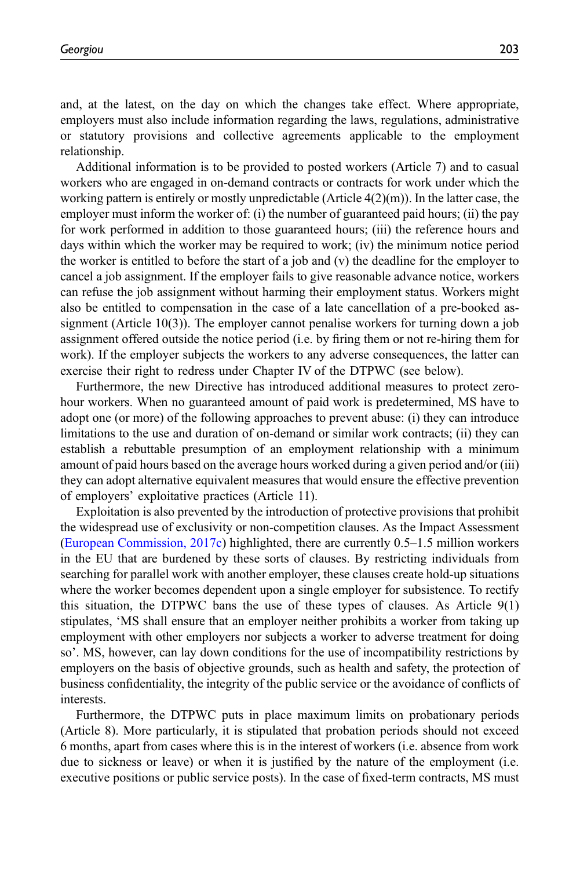and, at the latest, on the day on which the changes take effect. Where appropriate, employers must also include information regarding the laws, regulations, administrative or statutory provisions and collective agreements applicable to the employment relationship.

Additional information is to be provided to posted workers (Article 7) and to casual workers who are engaged in on-demand contracts or contracts for work under which the working pattern is entirely or mostly unpredictable (Article  $4(2)(m)$ ). In the latter case, the employer must inform the worker of: (i) the number of guaranteed paid hours; (ii) the pay for work performed in addition to those guaranteed hours; (iii) the reference hours and days within which the worker may be required to work; (iv) the minimum notice period the worker is entitled to before the start of a job and  $(v)$  the deadline for the employer to cancel a job assignment. If the employer fails to give reasonable advance notice, workers can refuse the job assignment without harming their employment status. Workers might also be entitled to compensation in the case of a late cancellation of a pre-booked assignment (Article 10(3)). The employer cannot penalise workers for turning down a job assignment offered outside the notice period (i.e. by firing them or not re-hiring them for work). If the employer subjects the workers to any adverse consequences, the latter can exercise their right to redress under Chapter IV of the DTPWC (see below).

Furthermore, the new Directive has introduced additional measures to protect zerohour workers. When no guaranteed amount of paid work is predetermined, MS have to adopt one (or more) of the following approaches to prevent abuse: (i) they can introduce limitations to the use and duration of on-demand or similar work contracts; (ii) they can establish a rebuttable presumption of an employment relationship with a minimum amount of paid hours based on the average hours worked during a given period and/or (iii) they can adopt alternative equivalent measures that would ensure the effective prevention of employers' exploitative practices (Article 11).

Exploitation is also prevented by the introduction of protective provisions that prohibit the widespread use of exclusivity or non-competition clauses. As the Impact Assessment [\(European Commission, 2017c](#page-15-1)) highlighted, there are currently 0.5–1.5 million workers in the EU that are burdened by these sorts of clauses. By restricting individuals from searching for parallel work with another employer, these clauses create hold-up situations where the worker becomes dependent upon a single employer for subsistence. To rectify this situation, the DTPWC bans the use of these types of clauses. As Article 9(1) stipulates, 'MS shall ensure that an employer neither prohibits a worker from taking up employment with other employers nor subjects a worker to adverse treatment for doing so'. MS, however, can lay down conditions for the use of incompatibility restrictions by employers on the basis of objective grounds, such as health and safety, the protection of business confidentiality, the integrity of the public service or the avoidance of conflicts of interests.

Furthermore, the DTPWC puts in place maximum limits on probationary periods (Article 8). More particularly, it is stipulated that probation periods should not exceed 6 months, apart from cases where this is in the interest of workers (i.e. absence from work due to sickness or leave) or when it is justified by the nature of the employment (i.e. executive positions or public service posts). In the case of fixed-term contracts, MS must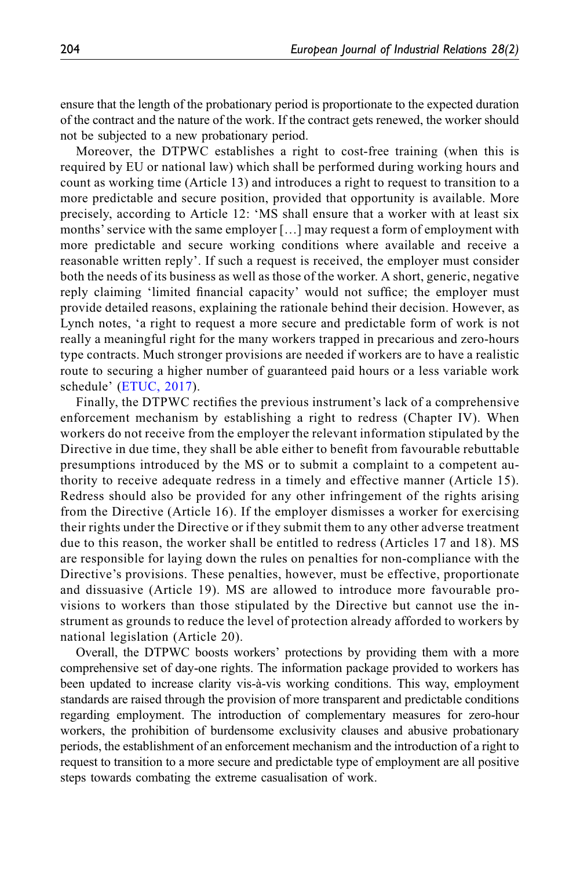ensure that the length of the probationary period is proportionate to the expected duration of the contract and the nature of the work. If the contract gets renewed, the worker should not be subjected to a new probationary period.

Moreover, the DTPWC establishes a right to cost-free training (when this is required by EU or national law) which shall be performed during working hours and count as working time (Article 13) and introduces a right to request to transition to a more predictable and secure position, provided that opportunity is available. More precisely, according to Article 12: 'MS shall ensure that a worker with at least six months' service with the same employer [...] may request a form of employment with more predictable and secure working conditions where available and receive a reasonable written reply'. If such a request is received, the employer must consider both the needs of its business as well as those of the worker. A short, generic, negative reply claiming 'limited financial capacity' would not suffice; the employer must provide detailed reasons, explaining the rationale behind their decision. However, as Lynch notes, 'a right to request a more secure and predictable form of work is not really a meaningful right for the many workers trapped in precarious and zero-hours type contracts. Much stronger provisions are needed if workers are to have a realistic route to securing a higher number of guaranteed paid hours or a less variable work schedule' ([ETUC, 2017\)](#page-16-14).

Finally, the DTPWC rectifies the previous instrument's lack of a comprehensive enforcement mechanism by establishing a right to redress (Chapter IV). When workers do not receive from the employer the relevant information stipulated by the Directive in due time, they shall be able either to benefit from favourable rebuttable presumptions introduced by the MS or to submit a complaint to a competent authority to receive adequate redress in a timely and effective manner (Article 15). Redress should also be provided for any other infringement of the rights arising from the Directive (Article 16). If the employer dismisses a worker for exercising their rights under the Directive or if they submit them to any other adverse treatment due to this reason, the worker shall be entitled to redress (Articles 17 and 18). MS are responsible for laying down the rules on penalties for non-compliance with the Directive's provisions. These penalties, however, must be effective, proportionate and dissuasive (Article 19). MS are allowed to introduce more favourable provisions to workers than those stipulated by the Directive but cannot use the instrument as grounds to reduce the level of protection already afforded to workers by national legislation (Article 20).

Overall, the DTPWC boosts workers' protections by providing them with a more comprehensive set of day-one rights. The information package provided to workers has been updated to increase clarity vis-à-vis working conditions. This way, employment standards are raised through the provision of more transparent and predictable conditions regarding employment. The introduction of complementary measures for zero-hour workers, the prohibition of burdensome exclusivity clauses and abusive probationary periods, the establishment of an enforcement mechanism and the introduction of a right to request to transition to a more secure and predictable type of employment are all positive steps towards combating the extreme casualisation of work.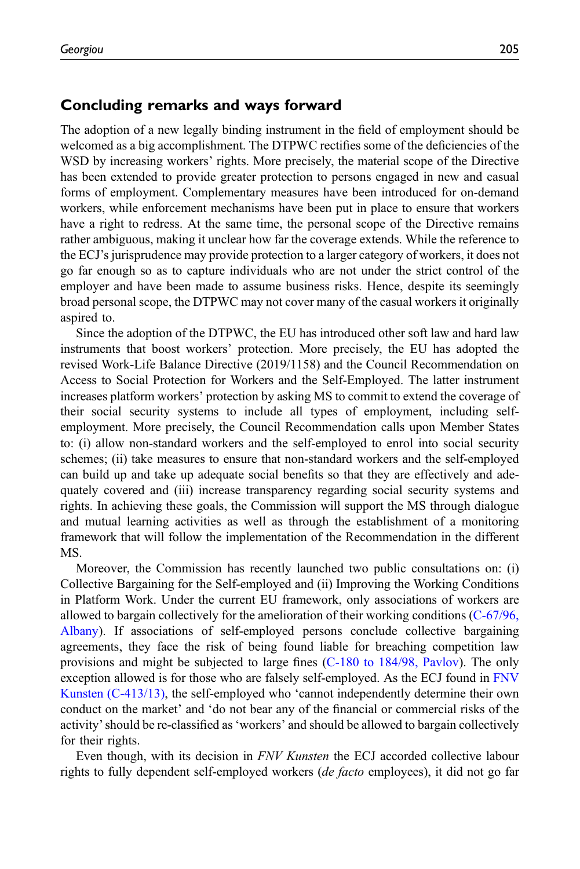### Concluding remarks and ways forward

The adoption of a new legally binding instrument in the field of employment should be welcomed as a big accomplishment. The DTPWC rectifies some of the deficiencies of the WSD by increasing workers' rights. More precisely, the material scope of the Directive has been extended to provide greater protection to persons engaged in new and casual forms of employment. Complementary measures have been introduced for on-demand workers, while enforcement mechanisms have been put in place to ensure that workers have a right to redress. At the same time, the personal scope of the Directive remains rather ambiguous, making it unclear how far the coverage extends. While the reference to the ECJ's jurisprudence may provide protection to a larger category of workers, it does not go far enough so as to capture individuals who are not under the strict control of the employer and have been made to assume business risks. Hence, despite its seemingly broad personal scope, the DTPWC may not cover many of the casual workers it originally aspired to.

Since the adoption of the DTPWC, the EU has introduced other soft law and hard law instruments that boost workers' protection. More precisely, the EU has adopted the revised Work-Life Balance Directive (2019/1158) and the Council Recommendation on Access to Social Protection for Workers and the Self-Employed. The latter instrument increases platform workers' protection by asking MS to commit to extend the coverage of their social security systems to include all types of employment, including selfemployment. More precisely, the Council Recommendation calls upon Member States to: (i) allow non-standard workers and the self-employed to enrol into social security schemes; (ii) take measures to ensure that non-standard workers and the self-employed can build up and take up adequate social benefits so that they are effectively and adequately covered and (iii) increase transparency regarding social security systems and rights. In achieving these goals, the Commission will support the MS through dialogue and mutual learning activities as well as through the establishment of a monitoring framework that will follow the implementation of the Recommendation in the different MS.

Moreover, the Commission has recently launched two public consultations on: (i) Collective Bargaining for the Self-employed and (ii) Improving the Working Conditions in Platform Work. Under the current EU framework, only associations of workers are allowed to bargain collectively for the amelioration of their working conditions [\(C-67/96,](#page-17-27) [Albany](#page-17-27)). If associations of self-employed persons conclude collective bargaining agreements, they face the risk of being found liable for breaching competition law provisions and might be subjected to large fines [\(C-180 to 184/98, Pavlov](#page-17-23)). The only exception allowed is for those who are falsely self-employed. As the ECJ found in [FNV](#page-17-9) [Kunsten \(C-413/13\),](#page-17-9) the self-employed who 'cannot independently determine their own conduct on the market' and 'do not bear any of the financial or commercial risks of the activity'should be re-classified as 'workers' and should be allowed to bargain collectively for their rights.

Even though, with its decision in FNV Kunsten the ECJ accorded collective labour rights to fully dependent self-employed workers (*de facto* employees), it did not go far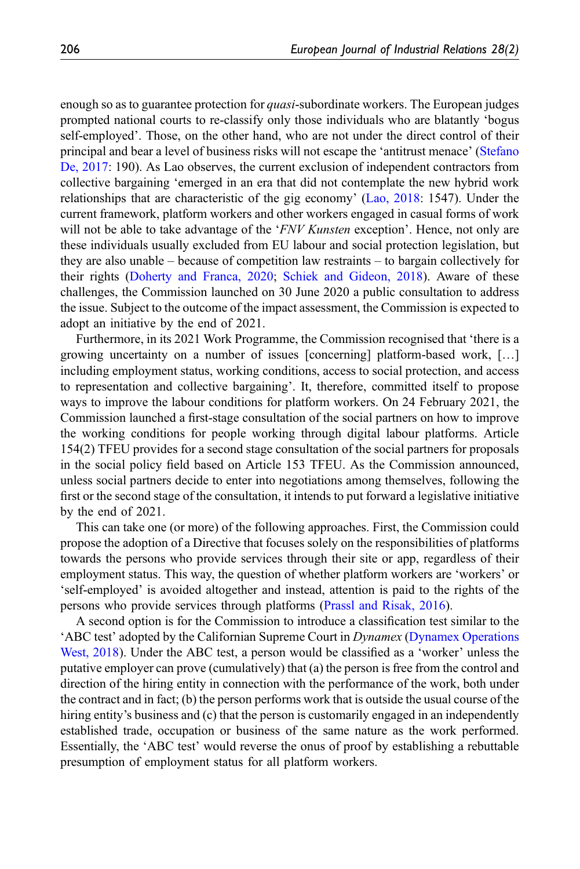enough so as to guarantee protection for *quasi*-subordinate workers. The European judges prompted national courts to re-classify only those individuals who are blatantly 'bogus self-employed'. Those, on the other hand, who are not under the direct control of their principal and bear a level of business risks will not escape the 'antitrust menace' [\(Stefano](#page-16-15) [De, 2017:](#page-16-15) 190). As Lao observes, the current exclusion of independent contractors from collective bargaining 'emerged in an era that did not contemplate the new hybrid work relationships that are characteristic of the gig economy' [\(Lao, 2018:](#page-16-16) 1547). Under the current framework, platform workers and other workers engaged in casual forms of work will not be able to take advantage of the 'FNV Kunsten exception'. Hence, not only are these individuals usually excluded from EU labour and social protection legislation, but they are also unable – because of competition law restraints – to bargain collectively for their rights ([Doherty and Franca, 2020;](#page-15-10) [Schiek and Gideon, 2018\)](#page-16-17). Aware of these challenges, the Commission launched on 30 June 2020 a public consultation to address the issue. Subject to the outcome of the impact assessment, the Commission is expected to adopt an initiative by the end of 2021.

Furthermore, in its 2021 Work Programme, the Commission recognised that 'there is a growing uncertainty on a number of issues [concerning] platform-based work, […] including employment status, working conditions, access to social protection, and access to representation and collective bargaining'. It, therefore, committed itself to propose ways to improve the labour conditions for platform workers. On 24 February 2021, the Commission launched a first-stage consultation of the social partners on how to improve the working conditions for people working through digital labour platforms. Article 154(2) TFEU provides for a second stage consultation of the social partners for proposals in the social policy field based on Article 153 TFEU. As the Commission announced, unless social partners decide to enter into negotiations among themselves, following the first or the second stage of the consultation, it intends to put forward a legislative initiative by the end of 2021.

This can take one (or more) of the following approaches. First, the Commission could propose the adoption of a Directive that focuses solely on the responsibilities of platforms towards the persons who provide services through their site or app, regardless of their employment status. This way, the question of whether platform workers are 'workers' or 'self-employed' is avoided altogether and instead, attention is paid to the rights of the persons who provide services through platforms [\(Prassl and Risak, 2016\)](#page-16-18).

A second option is for the Commission to introduce a classification test similar to the 'ABC test' adopted by the Californian Supreme Court in Dynamex [\(Dynamex Operations](#page-17-28) [West, 2018\)](#page-17-28). Under the ABC test, a person would be classified as a 'worker' unless the putative employer can prove (cumulatively) that (a) the person is free from the control and direction of the hiring entity in connection with the performance of the work, both under the contract and in fact; (b) the person performs work that is outside the usual course of the hiring entity's business and (c) that the person is customarily engaged in an independently established trade, occupation or business of the same nature as the work performed. Essentially, the 'ABC test' would reverse the onus of proof by establishing a rebuttable presumption of employment status for all platform workers.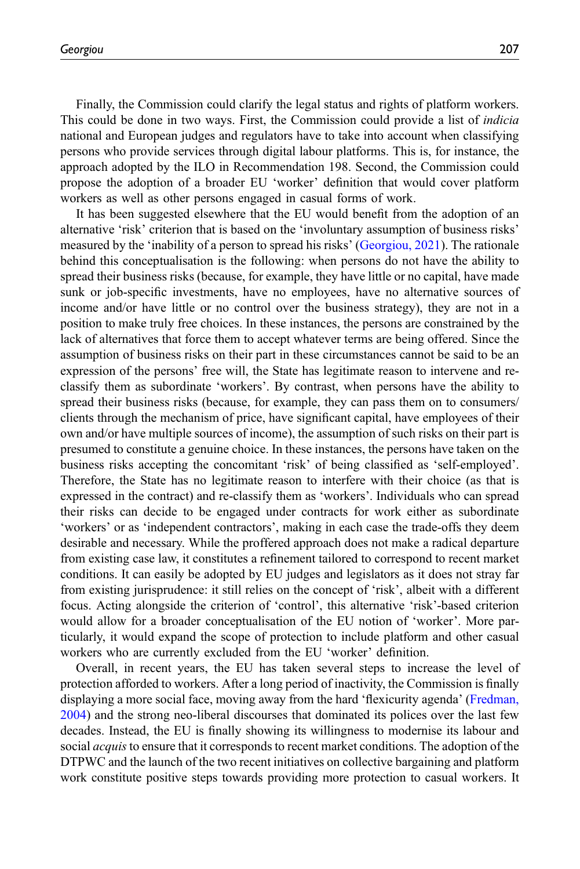Finally, the Commission could clarify the legal status and rights of platform workers. This could be done in two ways. First, the Commission could provide a list of indicia national and European judges and regulators have to take into account when classifying persons who provide services through digital labour platforms. This is, for instance, the approach adopted by the ILO in Recommendation 198. Second, the Commission could propose the adoption of a broader EU 'worker' definition that would cover platform workers as well as other persons engaged in casual forms of work.

It has been suggested elsewhere that the EU would benefit from the adoption of an alternative 'risk' criterion that is based on the 'involuntary assumption of business risks' measured by the 'inability of a person to spread his risks' ([Georgiou, 2021](#page-16-6)). The rationale behind this conceptualisation is the following: when persons do not have the ability to spread their business risks (because, for example, they have little or no capital, have made sunk or job-specific investments, have no employees, have no alternative sources of income and/or have little or no control over the business strategy), they are not in a position to make truly free choices. In these instances, the persons are constrained by the lack of alternatives that force them to accept whatever terms are being offered. Since the assumption of business risks on their part in these circumstances cannot be said to be an expression of the persons' free will, the State has legitimate reason to intervene and reclassify them as subordinate 'workers'. By contrast, when persons have the ability to spread their business risks (because, for example, they can pass them on to consumers/ clients through the mechanism of price, have significant capital, have employees of their own and/or have multiple sources of income), the assumption of such risks on their part is presumed to constitute a genuine choice. In these instances, the persons have taken on the business risks accepting the concomitant 'risk' of being classified as 'self-employed'. Therefore, the State has no legitimate reason to interfere with their choice (as that is expressed in the contract) and re-classify them as 'workers'. Individuals who can spread their risks can decide to be engaged under contracts for work either as subordinate 'workers' or as 'independent contractors', making in each case the trade-offs they deem desirable and necessary. While the proffered approach does not make a radical departure from existing case law, it constitutes a refinement tailored to correspond to recent market conditions. It can easily be adopted by EU judges and legislators as it does not stray far from existing jurisprudence: it still relies on the concept of 'risk', albeit with a different focus. Acting alongside the criterion of 'control', this alternative 'risk'-based criterion would allow for a broader conceptualisation of the EU notion of 'worker'. More particularly, it would expand the scope of protection to include platform and other casual workers who are currently excluded from the EU 'worker' definition.

Overall, in recent years, the EU has taken several steps to increase the level of protection afforded to workers. After a long period of inactivity, the Commission is finally displaying a more social face, moving away from the hard 'flexicurity agenda' ([Fredman,](#page-16-19) [2004\)](#page-16-19) and the strong neo-liberal discourses that dominated its polices over the last few decades. Instead, the EU is finally showing its willingness to modernise its labour and social *acquis* to ensure that it corresponds to recent market conditions. The adoption of the DTPWC and the launch of the two recent initiatives on collective bargaining and platform work constitute positive steps towards providing more protection to casual workers. It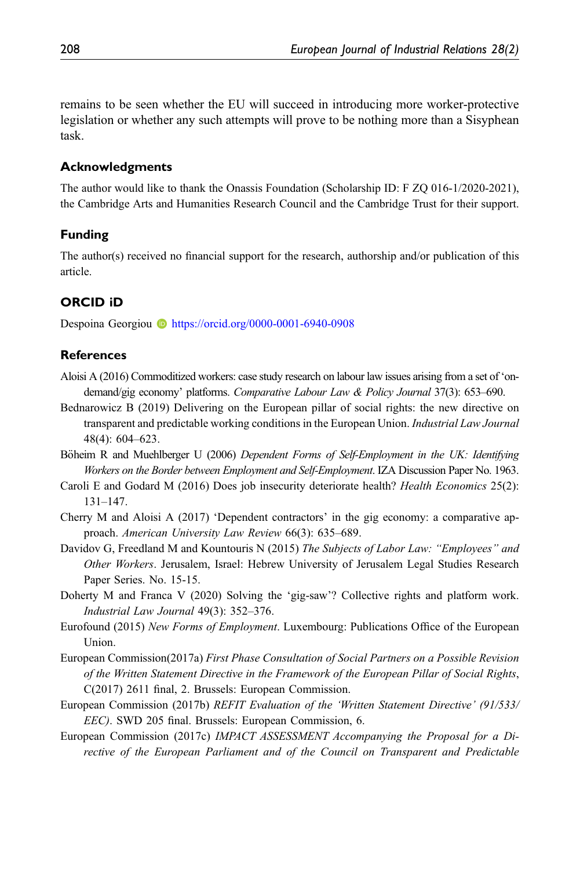remains to be seen whether the EU will succeed in introducing more worker-protective legislation or whether any such attempts will prove to be nothing more than a Sisyphean task.

#### Acknowledgments

The author would like to thank the Onassis Foundation (Scholarship ID: F ZQ 016-1/2020-2021), the Cambridge Arts and Humanities Research Council and the Cambridge Trust for their support.

### Funding

The author(s) received no financial support for the research, authorship and/or publication of this article.

### ORCID iD

Despoina Georgiou **b** <https://orcid.org/0000-0001-6940-0908>

### **References**

- <span id="page-15-4"></span>Aloisi A (2016) Commoditized workers: case study research on labour law issues arising from a set of 'ondemand/gig economy' platforms. Comparative Labour Law & Policy Journal 37(3): 653–690.
- <span id="page-15-8"></span>Bednarowicz B (2019) Delivering on the European pillar of social rights: the new directive on transparent and predictable working conditions in the European Union. Industrial Law Journal 48(4): 604–623.
- <span id="page-15-6"></span>Böheim R and Muehlberger U (2006) Dependent Forms of Self-Employment in the UK: Identifying Workers on the Border between Employment and Self-Employment. IZA Discussion Paper No. 1963.
- <span id="page-15-5"></span>Caroli E and Godard M (2016) Does job insecurity deteriorate health? Health Economics 25(2): 131–147.
- <span id="page-15-3"></span>Cherry M and Aloisi A (2017) 'Dependent contractors' in the gig economy: a comparative approach. American University Law Review 66(3): 635–689.
- <span id="page-15-9"></span>Davidov G, Freedland M and Kountouris N (2015) The Subjects of Labor Law: "Employees" and Other Workers. Jerusalem, Israel: Hebrew University of Jerusalem Legal Studies Research Paper Series. No. 15-15.
- <span id="page-15-10"></span>Doherty M and Franca V (2020) Solving the 'gig-saw'? Collective rights and platform work. Industrial Law Journal 49(3): 352–376.
- <span id="page-15-2"></span>Eurofound (2015) New Forms of Employment. Luxembourg: Publications Office of the European Union.
- <span id="page-15-7"></span>European Commission(2017a) First Phase Consultation of Social Partners on a Possible Revision of the Written Statement Directive in the Framework of the European Pillar of Social Rights, C(2017) 2611 final, 2. Brussels: European Commission.
- <span id="page-15-0"></span>European Commission (2017b) REFIT Evaluation of the 'Written Statement Directive' (91/533/ EEC). SWD 205 final. Brussels: European Commission, 6.
- <span id="page-15-1"></span>European Commission (2017c) IMPACT ASSESSMENT Accompanying the Proposal for a Directive of the European Parliament and of the Council on Transparent and Predictable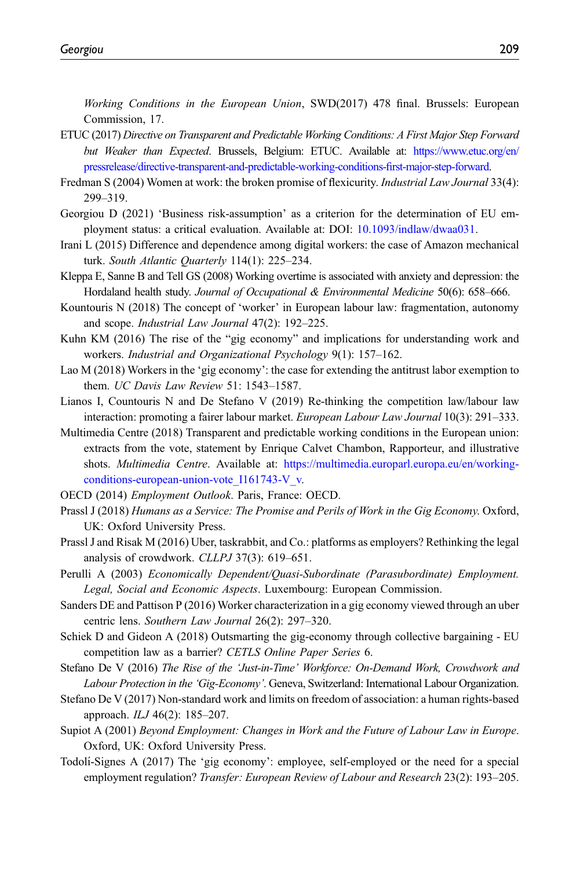Working Conditions in the European Union, SWD(2017) 478 final. Brussels: European Commission, 17.

- <span id="page-16-14"></span>ETUC (2017) Directive on Transparent and Predictable Working Conditions: A First Major Step Forward but Weaker than Expected. Brussels, Belgium: ETUC. Available at: [https://www.etuc.org/en/](https://www.etuc.org/en/pressrelease/directive-transparent-and-predictable-working-conditions-first-major-step-forward) [pressrelease/directive-transparent-and-predictable-working-conditions-](https://www.etuc.org/en/pressrelease/directive-transparent-and-predictable-working-conditions-first-major-step-forward)first-major-step-forward.
- <span id="page-16-19"></span>Fredman S (2004) Women at work: the broken promise of flexicurity. Industrial Law Journal 33(4): 299–319.
- <span id="page-16-6"></span>Georgiou D (2021) 'Business risk-assumption' as a criterion for the determination of EU employment status: a critical evaluation. Available at: DOI: [10.1093/indlaw/dwaa031.](https://doi.org/10.1093/indlaw/dwaa031)
- <span id="page-16-2"></span>Irani L (2015) Difference and dependence among digital workers: the case of Amazon mechanical turk. South Atlantic Quarterly 114(1): 225–234.
- <span id="page-16-7"></span>Kleppa E, Sanne B and Tell GS (2008) Working overtime is associated with anxiety and depression: the Hordaland health study. Journal of Occupational & Environmental Medicine 50(6): 658–666.
- <span id="page-16-12"></span>Kountouris N (2018) The concept of 'worker' in European labour law: fragmentation, autonomy and scope. Industrial Law Journal 47(2): 192–225.
- <span id="page-16-8"></span>Kuhn KM (2016) The rise of the "gig economy" and implications for understanding work and workers. Industrial and Organizational Psychology 9(1): 157–162.
- <span id="page-16-16"></span>Lao M (2018) Workers in the 'gig economy': the case for extending the antitrust labor exemption to them. UC Davis Law Review 51: 1543–1587.
- <span id="page-16-13"></span>Lianos I, Countouris N and De Stefano V (2019) Re-thinking the competition law/labour law interaction: promoting a fairer labour market. *European Labour Law Journal* 10(3): 291–333.
- <span id="page-16-0"></span>Multimedia Centre (2018) Transparent and predictable working conditions in the European union: extracts from the vote, statement by Enrique Calvet Chambon, Rapporteur, and illustrative shots. *Multimedia Centre*. Available at: [https://multimedia.europarl.europa.eu/en/working](https://multimedia.europarl.europa.eu/en/working-conditions-european-union-vote_I161743-V_v)conditions-european-union-vote I161743-V v.
- <span id="page-16-9"></span><span id="page-16-5"></span>OECD (2014) Employment Outlook. Paris, France: OECD.
- Prassl J (2018) Humans as a Service: The Promise and Perils of Work in the Gig Economy. Oxford, UK: Oxford University Press.
- <span id="page-16-18"></span>Prassl J and Risak M (2016) Uber, taskrabbit, and Co.: platforms as employers? Rethinking the legal analysis of crowdwork. CLLPJ 37(3): 619–651.
- <span id="page-16-10"></span>Perulli A (2003) Economically Dependent/Quasi-Subordinate (Parasubordinate) Employment. Legal, Social and Economic Aspects. Luxembourg: European Commission.
- <span id="page-16-3"></span>Sanders DE and Pattison P (2016) Worker characterization in a gig economy viewed through an uber centric lens. Southern Law Journal 26(2): 297–320.
- <span id="page-16-17"></span>Schiek D and Gideon A (2018) Outsmarting the gig-economy through collective bargaining - EU competition law as a barrier? CETLS Online Paper Series 6.
- <span id="page-16-4"></span>Stefano De V (2016) The Rise of the 'Just-in-Time' Workforce: On-Demand Work, Crowdwork and Labour Protection in the 'Gig-Economy'. Geneva, Switzerland: International Labour Organization.
- <span id="page-16-15"></span>Stefano De V (2017) Non-standard work and limits on freedom of association: a human rights-based approach. ILJ 46(2): 185–207.
- <span id="page-16-11"></span>Supiot A (2001) Beyond Employment: Changes in Work and the Future of Labour Law in Europe. Oxford, UK: Oxford University Press.
- <span id="page-16-1"></span>Todoli-Signes A (2017) The 'gig economy': employee, self-employed or the need for a special employment regulation? Transfer: European Review of Labour and Research 23(2): 193–205.